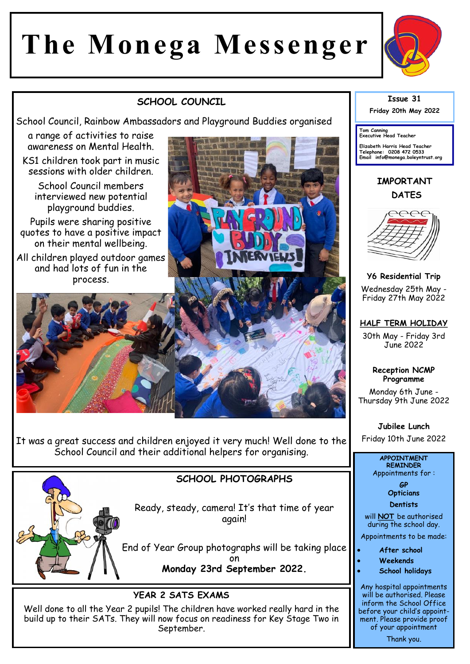# **The Monega Messenger**



## **SCHOOL COUNCIL**

School Council, Rainbow Ambassadors and Playground Buddies organised

a range of activities to raise awareness on Mental Health.

KS1 children took part in music sessions with older children.

School Council members interviewed new potential playground buddies.

Pupils were sharing positive quotes to have a positive impact on their mental wellbeing.

All children played outdoor games and had lots of fun in the process.



It was a great success and children enjoyed it very much! Well done to the School Council and their additional helpers for organising.



### **SCHOOL PHOTOGRAPHS**

Ready, steady, camera! It's that time of year again!

End of Year Group photographs will be taking place on **Monday 23rd September 2022.** 

#### **YEAR 2 SATS EXAMS**

Well done to all the Year 2 pupils! The children have worked really hard in the build up to their SATs. They will now focus on readiness for Key Stage Two in September.



**Tom Canning Executive Head Teacher**

**Elizabeth Harris Head Teacher Telephone: 0208 472 0533 Email info@monega.boleyntrust.org** 

**IMPORTANT DATES**



**Y6 Residential Trip** Wednesday 25th May - Friday 27th May 2022

#### **HALF TERM HOLIDAY**

30th May - Friday 3rd June 2022

> **Reception NCMP Programme**

Monday 6th June - Thursday 9th June 2022

**Jubilee Lunch**  Friday 10th June 2022

#### **APPOINTMENT REMINDER**

Appointments for :

**GP Opticians** 

**Dentists** 

will **NOT** be authorised during the school day.

Appointments to be made:

- **After school**
- **Weekends**
- **School holidays**

Any hospital appointments will be authorised. Please inform the School Office before your child's appointment. Please provide proof of your appointment

Thank you.